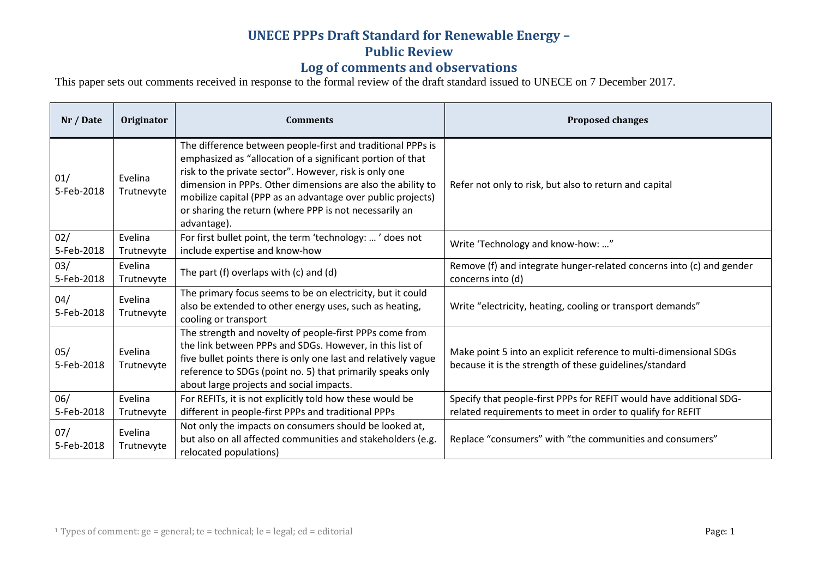# **UNECE PPPs Draft Standard for Renewable Energy –**

#### **Public Review**

### **Log of comments and observations**

This paper sets out comments received in response to the formal review of the draft standard issued to UNECE on 7 December 2017.

| Nr / Date         | Originator            | <b>Comments</b>                                                                                                                                                                                                                                                                                                                                                                            | <b>Proposed changes</b>                                                                                                           |
|-------------------|-----------------------|--------------------------------------------------------------------------------------------------------------------------------------------------------------------------------------------------------------------------------------------------------------------------------------------------------------------------------------------------------------------------------------------|-----------------------------------------------------------------------------------------------------------------------------------|
| 01/<br>5-Feb-2018 | Evelina<br>Trutnevyte | The difference between people-first and traditional PPPs is<br>emphasized as "allocation of a significant portion of that<br>risk to the private sector". However, risk is only one<br>dimension in PPPs. Other dimensions are also the ability to<br>mobilize capital (PPP as an advantage over public projects)<br>or sharing the return (where PPP is not necessarily an<br>advantage). | Refer not only to risk, but also to return and capital                                                                            |
| 02/<br>5-Feb-2018 | Evelina<br>Trutnevyte | For first bullet point, the term 'technology: ' does not<br>include expertise and know-how                                                                                                                                                                                                                                                                                                 | Write 'Technology and know-how: "                                                                                                 |
| 03/<br>5-Feb-2018 | Evelina<br>Trutnevyte | The part $(f)$ overlaps with $(c)$ and $(d)$                                                                                                                                                                                                                                                                                                                                               | Remove (f) and integrate hunger-related concerns into (c) and gender<br>concerns into (d)                                         |
| 04/<br>5-Feb-2018 | Evelina<br>Trutnevyte | The primary focus seems to be on electricity, but it could<br>also be extended to other energy uses, such as heating,<br>cooling or transport                                                                                                                                                                                                                                              | Write "electricity, heating, cooling or transport demands"                                                                        |
| 05/<br>5-Feb-2018 | Evelina<br>Trutnevyte | The strength and novelty of people-first PPPs come from<br>the link between PPPs and SDGs. However, in this list of<br>five bullet points there is only one last and relatively vague<br>reference to SDGs (point no. 5) that primarily speaks only<br>about large projects and social impacts.                                                                                            | Make point 5 into an explicit reference to multi-dimensional SDGs<br>because it is the strength of these guidelines/standard      |
| 06/<br>5-Feb-2018 | Evelina<br>Trutnevyte | For REFITs, it is not explicitly told how these would be<br>different in people-first PPPs and traditional PPPs                                                                                                                                                                                                                                                                            | Specify that people-first PPPs for REFIT would have additional SDG-<br>related requirements to meet in order to qualify for REFIT |
| 07/<br>5-Feb-2018 | Evelina<br>Trutnevyte | Not only the impacts on consumers should be looked at,<br>but also on all affected communities and stakeholders (e.g.<br>relocated populations)                                                                                                                                                                                                                                            | Replace "consumers" with "the communities and consumers"                                                                          |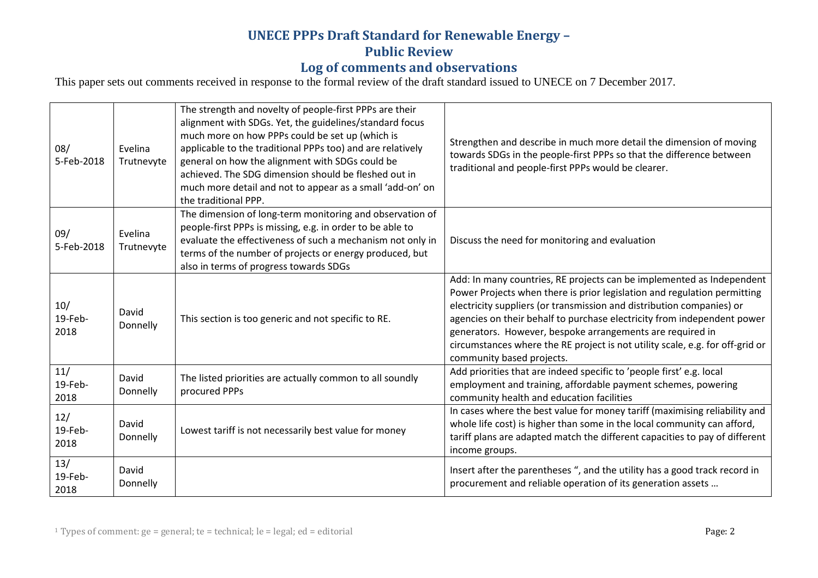### **UNECE PPPs Draft Standard for Renewable Energy – Public Review Log of comments and observations**

This paper sets out comments received in response to the formal review of the draft standard issued to UNECE on 7 December 2017.

| 08/<br>5-Feb-2018      | Evelina<br>Trutnevyte | The strength and novelty of people-first PPPs are their<br>alignment with SDGs. Yet, the guidelines/standard focus<br>much more on how PPPs could be set up (which is<br>applicable to the traditional PPPs too) and are relatively<br>general on how the alignment with SDGs could be<br>achieved. The SDG dimension should be fleshed out in<br>much more detail and not to appear as a small 'add-on' on<br>the traditional PPP. | Strengthen and describe in much more detail the dimension of moving<br>towards SDGs in the people-first PPPs so that the difference between<br>traditional and people-first PPPs would be clearer.                                                                                                                                                                                                                                                                               |
|------------------------|-----------------------|-------------------------------------------------------------------------------------------------------------------------------------------------------------------------------------------------------------------------------------------------------------------------------------------------------------------------------------------------------------------------------------------------------------------------------------|----------------------------------------------------------------------------------------------------------------------------------------------------------------------------------------------------------------------------------------------------------------------------------------------------------------------------------------------------------------------------------------------------------------------------------------------------------------------------------|
| 09/<br>5-Feb-2018      | Evelina<br>Trutnevyte | The dimension of long-term monitoring and observation of<br>people-first PPPs is missing, e.g. in order to be able to<br>evaluate the effectiveness of such a mechanism not only in<br>terms of the number of projects or energy produced, but<br>also in terms of progress towards SDGs                                                                                                                                            | Discuss the need for monitoring and evaluation                                                                                                                                                                                                                                                                                                                                                                                                                                   |
| 10/<br>19-Feb-<br>2018 | David<br>Donnelly     | This section is too generic and not specific to RE.                                                                                                                                                                                                                                                                                                                                                                                 | Add: In many countries, RE projects can be implemented as Independent<br>Power Projects when there is prior legislation and regulation permitting<br>electricity suppliers (or transmission and distribution companies) or<br>agencies on their behalf to purchase electricity from independent power<br>generators. However, bespoke arrangements are required in<br>circumstances where the RE project is not utility scale, e.g. for off-grid or<br>community based projects. |
| 11/<br>19-Feb-<br>2018 | David<br>Donnelly     | The listed priorities are actually common to all soundly<br>procured PPPs                                                                                                                                                                                                                                                                                                                                                           | Add priorities that are indeed specific to 'people first' e.g. local<br>employment and training, affordable payment schemes, powering<br>community health and education facilities                                                                                                                                                                                                                                                                                               |
| 12/<br>19-Feb-<br>2018 | David<br>Donnelly     | Lowest tariff is not necessarily best value for money                                                                                                                                                                                                                                                                                                                                                                               | In cases where the best value for money tariff (maximising reliability and<br>whole life cost) is higher than some in the local community can afford,<br>tariff plans are adapted match the different capacities to pay of different<br>income groups.                                                                                                                                                                                                                           |
| 13/<br>19-Feb-<br>2018 | David<br>Donnelly     |                                                                                                                                                                                                                                                                                                                                                                                                                                     | Insert after the parentheses ", and the utility has a good track record in<br>procurement and reliable operation of its generation assets                                                                                                                                                                                                                                                                                                                                        |

<sup>1</sup> Types of comment:  $ge = general$ ; te = technical;  $le = legal$ ;  $ed = editorial$   $= defitorial$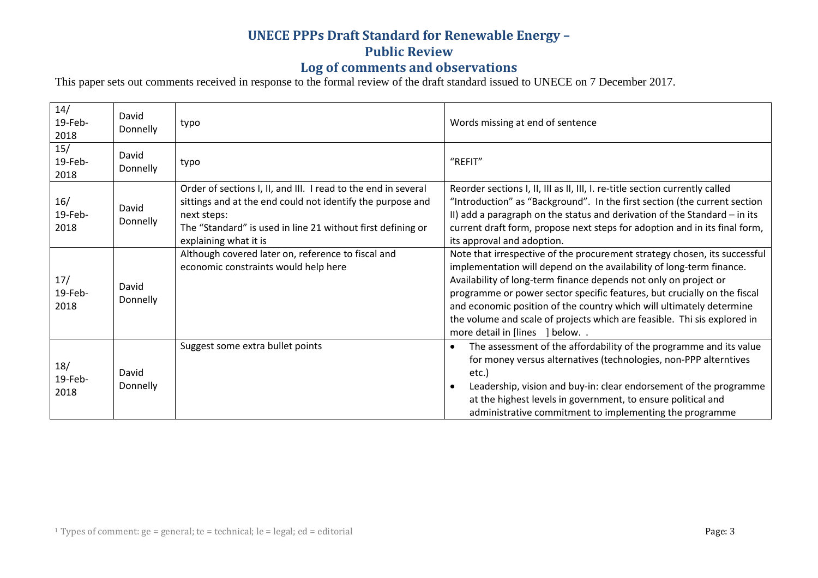## **UNECE PPPs Draft Standard for Renewable Energy –**

### **Public Review**

### **Log of comments and observations**

This paper sets out comments received in response to the formal review of the draft standard issued to UNECE on 7 December 2017.

| 14/<br>19-Feb-<br>2018 | David<br>Donnelly | typo                                                                                                                                                                                                                                | Words missing at end of sentence                                                                                                                                                                                                                                                                                                                                                                                                                                                          |
|------------------------|-------------------|-------------------------------------------------------------------------------------------------------------------------------------------------------------------------------------------------------------------------------------|-------------------------------------------------------------------------------------------------------------------------------------------------------------------------------------------------------------------------------------------------------------------------------------------------------------------------------------------------------------------------------------------------------------------------------------------------------------------------------------------|
| 15/<br>19-Feb-<br>2018 | David<br>Donnelly | typo                                                                                                                                                                                                                                | "REFIT"                                                                                                                                                                                                                                                                                                                                                                                                                                                                                   |
| 16/<br>19-Feb-<br>2018 | David<br>Donnelly | Order of sections I, II, and III. I read to the end in several<br>sittings and at the end could not identify the purpose and<br>next steps:<br>The "Standard" is used in line 21 without first defining or<br>explaining what it is | Reorder sections I, II, III as II, III, I. re-title section currently called<br>"Introduction" as "Background". In the first section (the current section<br>II) add a paragraph on the status and derivation of the Standard $-$ in its<br>current draft form, propose next steps for adoption and in its final form,<br>its approval and adoption.                                                                                                                                      |
| 17/<br>19-Feb-<br>2018 | David<br>Donnelly | Although covered later on, reference to fiscal and<br>economic constraints would help here                                                                                                                                          | Note that irrespective of the procurement strategy chosen, its successful<br>implementation will depend on the availability of long-term finance.<br>Availability of long-term finance depends not only on project or<br>programme or power sector specific features, but crucially on the fiscal<br>and economic position of the country which will ultimately determine<br>the volume and scale of projects which are feasible. Thi sis explored in<br>more detail in [lines ] below. . |
| 18/<br>19-Feb-<br>2018 | David<br>Donnelly | Suggest some extra bullet points                                                                                                                                                                                                    | The assessment of the affordability of the programme and its value<br>for money versus alternatives (technologies, non-PPP alterntives<br>etc.)<br>Leadership, vision and buy-in: clear endorsement of the programme<br>at the highest levels in government, to ensure political and<br>administrative commitment to implementing the programme                                                                                                                                           |